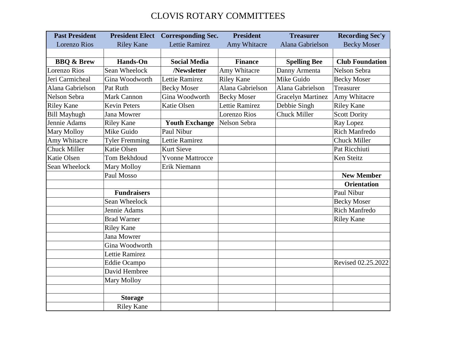## CLOVIS ROTARY COMMITTEES

| <b>Past President</b> | <b>President Elect</b> | <b>Corresponding Sec.</b> | <b>President</b>   | <b>Treasurer</b>         | <b>Recording Sec'y</b> |
|-----------------------|------------------------|---------------------------|--------------------|--------------------------|------------------------|
| <b>Lorenzo Rios</b>   | <b>Riley Kane</b>      | <b>Lettie Ramirez</b>     | Amy Whitacre       | Alana Gabrielson         | <b>Becky Moser</b>     |
|                       |                        |                           |                    |                          |                        |
| <b>BBQ &amp; Brew</b> | <b>Hands-On</b>        | <b>Social Media</b>       | <b>Finance</b>     | <b>Spelling Bee</b>      | <b>Club Foundation</b> |
| Lorenzo Rios          | Sean Wheelock          | /Newsletter               | Amy Whitacre       | Danny Armenta            | Nelson Sebra           |
| Jeri Carmicheal       | Gina Woodworth         | Lettie Ramirez            | <b>Riley Kane</b>  | Mike Guido               | <b>Becky Moser</b>     |
| Alana Gabrielson      | Pat Ruth               | <b>Becky Moser</b>        | Alana Gabrielson   | Alana Gabrielson         | Treasurer              |
| Nelson Sebra          | <b>Mark Cannon</b>     | Gina Woodworth            | <b>Becky Moser</b> | <b>Gracelyn Martinez</b> | Amy Whitacre           |
| <b>Riley Kane</b>     | <b>Kevin Peters</b>    | Katie Olsen               | Lettie Ramirez     | Debbie Singh             | <b>Riley Kane</b>      |
| <b>Bill Mayhugh</b>   | Jana Mowrer            |                           | Lorenzo Rios       | <b>Chuck Miller</b>      | <b>Scott Dority</b>    |
| Jennie Adams          | <b>Riley Kane</b>      | <b>Youth Exchange</b>     | Nelson Sebra       |                          | Ray Lopez              |
| <b>Mary Molloy</b>    | Mike Guido             | Paul Nibur                |                    |                          | <b>Rich Manfredo</b>   |
| Amy Whitacre          | <b>Tyler Fremming</b>  | Lettie Ramirez            |                    |                          | <b>Chuck Miller</b>    |
| <b>Chuck Miller</b>   | <b>Katie Olsen</b>     | <b>Kurt Sieve</b>         |                    |                          | Pat Ricchiuti          |
| Katie Olsen           | Tom Bekhdoud           | <b>Yvonne Mattrocce</b>   |                    |                          | Ken Steitz             |
| Sean Wheelock         | <b>Mary Molloy</b>     | Erik Niemann              |                    |                          |                        |
|                       | Paul Mosso             |                           |                    |                          | <b>New Member</b>      |
|                       |                        |                           |                    |                          | <b>Orientation</b>     |
|                       | <b>Fundraisers</b>     |                           |                    |                          | Paul Nibur             |
|                       | Sean Wheelock          |                           |                    |                          | <b>Becky Moser</b>     |
|                       | Jennie Adams           |                           |                    |                          | <b>Rich Manfredo</b>   |
|                       | <b>Brad Warner</b>     |                           |                    |                          | <b>Riley Kane</b>      |
|                       | <b>Riley Kane</b>      |                           |                    |                          |                        |
|                       | Jana Mowrer            |                           |                    |                          |                        |
|                       | Gina Woodworth         |                           |                    |                          |                        |
|                       | Lettie Ramirez         |                           |                    |                          |                        |
|                       | <b>Eddie Ocampo</b>    |                           |                    |                          | Revised 02.25.2022     |
|                       | David Hembree          |                           |                    |                          |                        |
|                       | <b>Mary Molloy</b>     |                           |                    |                          |                        |
|                       |                        |                           |                    |                          |                        |
|                       | <b>Storage</b>         |                           |                    |                          |                        |
|                       | <b>Riley Kane</b>      |                           |                    |                          |                        |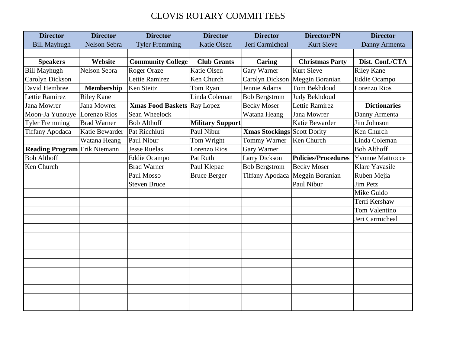## CLOVIS ROTARY COMMITTEES

| <b>Director</b>                     | <b>Director</b>    | <b>Director</b>                    | <b>Director</b>         | <b>Director</b>             | <b>Director/PN</b>     | <b>Director</b>         |
|-------------------------------------|--------------------|------------------------------------|-------------------------|-----------------------------|------------------------|-------------------------|
| <b>Bill Mayhugh</b>                 | Nelson Sebra       | <b>Tyler Fremming</b>              | <b>Katie Olsen</b>      | Jeri Carmicheal             | <b>Kurt Sieve</b>      | Danny Armenta           |
|                                     |                    |                                    |                         |                             |                        |                         |
| <b>Speakers</b>                     | Website            | <b>Community College</b>           | <b>Club Grants</b>      | <b>Caring</b>               | <b>Christmas Party</b> | Dist. Conf./CTA         |
| <b>Bill Mayhugh</b>                 | Nelson Sebra       | <b>Roger Oraze</b>                 | <b>Katie Olsen</b>      | Gary Warner                 | <b>Kurt Sieve</b>      | <b>Riley Kane</b>       |
| Carolyn Dickson                     |                    | Lettie Ramirez                     | Ken Church              | Carolyn Dickson             | Meggin Boranian        | <b>Eddie Ocampo</b>     |
| David Hembree                       | <b>Membership</b>  | Ken Steitz                         | Tom Ryan                | Jennie Adams                | Tom Bekhdoud           | Lorenzo Rios            |
| Lettie Ramirez                      | <b>Riley Kane</b>  |                                    | Linda Coleman           | <b>Bob Bergstrom</b>        | Judy Bekhdoud          |                         |
| Jana Mowrer                         | <b>Jana Mowrer</b> | <b>Xmas Food Baskets Ray Lopez</b> |                         | <b>Becky Moser</b>          | Lettie Ramirez         | <b>Dictionaries</b>     |
| Moon-Ja Yunouye                     | Lorenzo Rios       | Sean Wheelock                      |                         | Watana Heang                | Jana Mowrer            | Danny Armenta           |
| <b>Tyler Fremming</b>               | <b>Brad Warner</b> | <b>Bob Althoff</b>                 | <b>Military Support</b> |                             | Katie Bewarder         | Jim Johnson             |
| <b>Tiffany Apodaca</b>              | Katie Bewarder     | Pat Ricchiuti                      | Paul Nibur              | Xmas Stockings Scott Dority |                        | Ken Church              |
|                                     | Watana Heang       | Paul Nibur                         | Tom Wright              | Tommy Warner                | Ken Church             | Linda Coleman           |
| <b>Reading Program</b> Erik Niemann |                    | <b>Jesse Ruelas</b>                | <b>Lorenzo Rios</b>     | Gary Warner                 |                        | <b>Bob Althoff</b>      |
| <b>Bob Althoff</b>                  |                    | Eddie Ocampo                       | Pat Ruth                | <b>Larry Dickson</b>        | Policies/Procedures    | <b>Yvonne Mattrocce</b> |
| Ken Church                          |                    | <b>Brad Warner</b>                 | Paul Klepac             | <b>Bob Bergstrom</b>        | <b>Becky Moser</b>     | Klare Yavasile          |
|                                     |                    | Paul Mosso                         | <b>Bruce Berger</b>     | <b>Tiffany Apodaca</b>      | Meggin Boranian        | Ruben Mejia             |
|                                     |                    | <b>Steven Bruce</b>                |                         |                             | Paul Nibur             | <b>Jim Petz</b>         |
|                                     |                    |                                    |                         |                             |                        | Mike Guido              |
|                                     |                    |                                    |                         |                             |                        | Terri Kershaw           |
|                                     |                    |                                    |                         |                             |                        | <b>Tom Valentino</b>    |
|                                     |                    |                                    |                         |                             |                        | Jeri Carmicheal         |
|                                     |                    |                                    |                         |                             |                        |                         |
|                                     |                    |                                    |                         |                             |                        |                         |
|                                     |                    |                                    |                         |                             |                        |                         |
|                                     |                    |                                    |                         |                             |                        |                         |
|                                     |                    |                                    |                         |                             |                        |                         |
|                                     |                    |                                    |                         |                             |                        |                         |
|                                     |                    |                                    |                         |                             |                        |                         |
|                                     |                    |                                    |                         |                             |                        |                         |
|                                     |                    |                                    |                         |                             |                        |                         |
|                                     |                    |                                    |                         |                             |                        |                         |